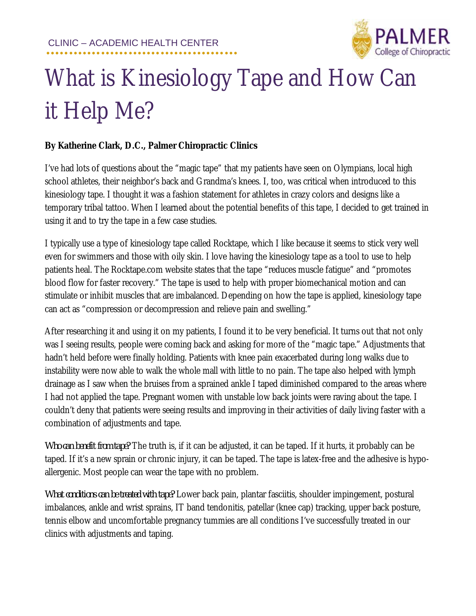

## What is Kinesiology Tape and How Can it Help Me?

## **By Katherine Clark, D.C., Palmer Chiropractic Clinics**

I've had lots of questions about the "magic tape" that my patients have seen on Olympians, local high school athletes, their neighbor's back and Grandma's knees. I, too, was critical when introduced to this kinesiology tape. I thought it was a fashion statement for athletes in crazy colors and designs like a temporary tribal tattoo. When I learned about the potential benefits of this tape, I decided to get trained in using it and to try the tape in a few case studies.

I typically use a type of kinesiology tape called Rocktape, which I like because it seems to stick very well even for swimmers and those with oily skin. I love having the kinesiology tape as a tool to use to help patients heal. The Rocktape.com website states that the tape "reduces muscle fatigue" and "promotes blood flow for faster recovery." The tape is used to help with proper biomechanical motion and can stimulate or inhibit muscles that are imbalanced. Depending on how the tape is applied, kinesiology tape can act as "compression or decompression and relieve pain and swelling."

After researching it and using it on my patients, I found it to be very beneficial. It turns out that not only was I seeing results, people were coming back and asking for more of the "magic tape." Adjustments that hadn't held before were finally holding. Patients with knee pain exacerbated during long walks due to instability were now able to walk the whole mall with little to no pain. The tape also helped with lymph drainage as I saw when the bruises from a sprained ankle I taped diminished compared to the areas where I had not applied the tape. Pregnant women with unstable low back joints were raving about the tape. I couldn't deny that patients were seeing results and improving in their activities of daily living faster with a combination of adjustments and tape.

*Who can benefit from tape?* The truth is, if it can be adjusted, it can be taped. If it hurts, it probably can be taped. If it's a new sprain or chronic injury, it can be taped. The tape is latex-free and the adhesive is hypoallergenic. Most people can wear the tape with no problem.

*What conditions can be treated with tape?* Lower back pain, plantar fasciitis, shoulder impingement, postural imbalances, ankle and wrist sprains, IT band tendonitis, patellar (knee cap) tracking, upper back posture, tennis elbow and uncomfortable pregnancy tummies are all conditions I've successfully treated in our clinics with adjustments and taping.